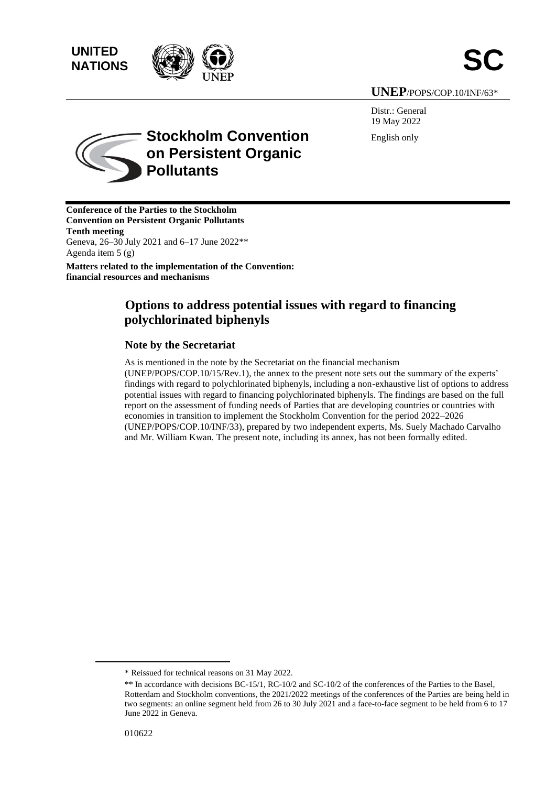





## **UNEP**/POPS/COP.10/INF/63\*

Distr.: General 19 May 2022 English only



**Stockholm Convention on Persistent Organic Pollutants**

**Conference of the Parties to the Stockholm Convention on Persistent Organic Pollutants Tenth meeting** Geneva, 26–30 July 2021 and 6–17 June 2022\*\* Agenda item 5 (g) **Matters related to the implementation of the Convention:**

**financial resources and mechanisms** 

# **Options to address potential issues with regard to financing polychlorinated biphenyls**

## **Note by the Secretariat**

As is mentioned in the note by the Secretariat on the financial mechanism (UNEP/POPS/COP.10/15/Rev.1), the annex to the present note sets out the summary of the experts' findings with regard to polychlorinated biphenyls, including a non-exhaustive list of options to address potential issues with regard to financing polychlorinated biphenyls. The findings are based on the full report on the assessment of funding needs of Parties that are developing countries or countries with economies in transition to implement the Stockholm Convention for the period 2022–2026 (UNEP/POPS/COP.10/INF/33), prepared by two independent experts, Ms. Suely Machado Carvalho and Mr. William Kwan. The present note, including its annex, has not been formally edited.

<sup>\*</sup> Reissued for technical reasons on 31 May 2022.

<sup>\*\*</sup> In accordance with decisions BC-15/1, RC-10/2 and SC-10/2 of the conferences of the Parties to the Basel, Rotterdam and Stockholm conventions, the 2021/2022 meetings of the conferences of the Parties are being held in two segments: an online segment held from 26 to 30 July 2021 and a face-to-face segment to be held from 6 to 17 June 2022 in Geneva.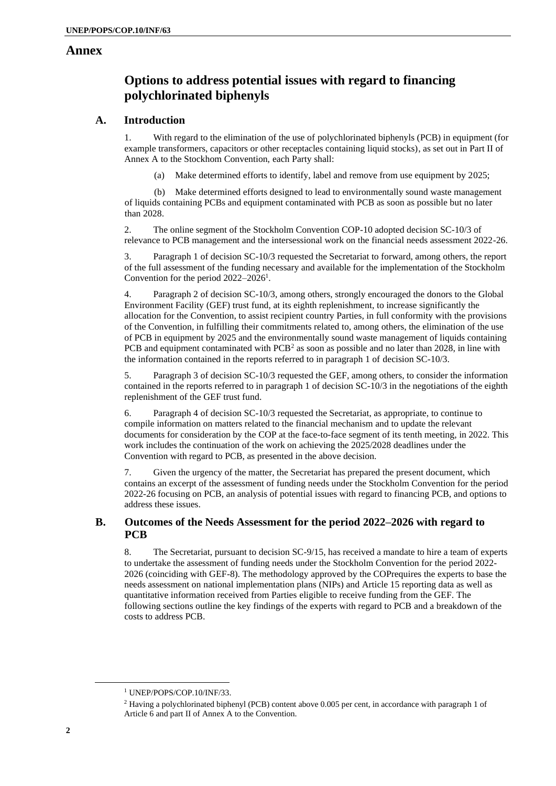## **Annex**

# **Options to address potential issues with regard to financing polychlorinated biphenyls**

## **A. Introduction**

1. With regard to the elimination of the use of polychlorinated biphenyls (PCB) in equipment (for example transformers, capacitors or other receptacles containing liquid stocks), as set out in Part II of Annex A to the Stockhom Convention, each Party shall:

Make determined efforts to identify, label and remove from use equipment by 2025;

(b) Make determined efforts designed to lead to environmentally sound waste management of liquids containing PCBs and equipment contaminated with PCB as soon as possible but no later than 2028.

2. The online segment of the Stockholm Convention COP-10 adopted decision SC-10/3 of relevance to PCB management and the intersessional work on the financial needs assessment 2022-26.

3. Paragraph 1 of decision SC-10/3 requested the Secretariat to forward, among others, the report of the full assessment of the funding necessary and available for the implementation of the Stockholm Convention for the period 2022–2026<sup>1</sup>.

4. Paragraph 2 of decision SC-10/3, among others, strongly encouraged the donors to the Global Environment Facility (GEF) trust fund, at its eighth replenishment, to increase significantly the allocation for the Convention, to assist recipient country Parties, in full conformity with the provisions of the Convention, in fulfilling their commitments related to, among others, the elimination of the use of PCB in equipment by 2025 and the environmentally sound waste management of liquids containing PCB and equipment contaminated with  $PCB<sup>2</sup>$  as soon as possible and no later than 2028, in line with the information contained in the reports referred to in paragraph 1 of decision SC-10/3.

5. Paragraph 3 of decision SC-10/3 requested the GEF, among others, to consider the information contained in the reports referred to in paragraph 1 of decision SC-10/3 in the negotiations of the eighth replenishment of the GEF trust fund.

6. Paragraph 4 of decision SC-10/3 requested the Secretariat, as appropriate, to continue to compile information on matters related to the financial mechanism and to update the relevant documents for consideration by the COP at the face-to-face segment of its tenth meeting, in 2022. This work includes the continuation of the work on achieving the 2025/2028 deadlines under the Convention with regard to PCB, as presented in the above decision.

7. Given the urgency of the matter, the Secretariat has prepared the present document, which contains an excerpt of the assessment of funding needs under the Stockholm Convention for the period 2022-26 focusing on PCB, an analysis of potential issues with regard to financing PCB, and options to address these issues.

## **B. Outcomes of the Needs Assessment for the period 2022–2026 with regard to PCB**

8. The Secretariat, pursuant to decision SC-9/15, has received a mandate to hire a team of experts to undertake the assessment of funding needs under the Stockholm Convention for the period 2022- 2026 (coinciding with GEF-8). The methodology approved by the COPrequires the experts to base the needs assessment on national implementation plans (NIPs) and Article 15 reporting data as well as quantitative information received from Parties eligible to receive funding from the GEF. The following sections outline the key findings of the experts with regard to PCB and a breakdown of the costs to address PCB.

<sup>&</sup>lt;sup>1</sup> UNEP/POPS/COP.10/INF/33.

<sup>&</sup>lt;sup>2</sup> Having a polychlorinated biphenyl (PCB) content above 0.005 per cent, in accordance with paragraph 1 of Article 6 and part II of Annex A to the Convention.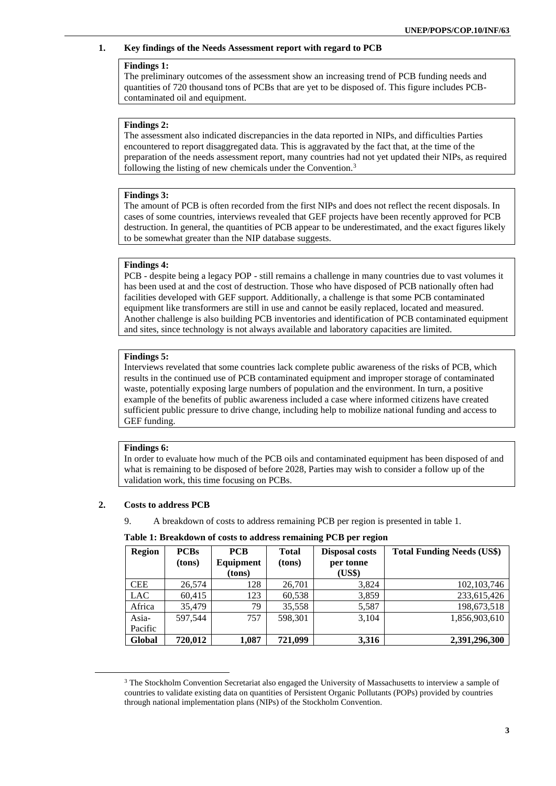#### **1. Key findings of the Needs Assessment report with regard to PCB**

### **Findings 1:**

The preliminary outcomes of the assessment show an increasing trend of PCB funding needs and quantities of 720 thousand tons of PCBs that are yet to be disposed of. This figure includes PCBcontaminated oil and equipment.

#### **Findings 2:**

The assessment also indicated discrepancies in the data reported in NIPs, and difficulties Parties encountered to report disaggregated data. This is aggravated by the fact that, at the time of the preparation of the needs assessment report, many countries had not yet updated their NIPs, as required following the listing of new chemicals under the Convention.<sup>3</sup>

#### **Findings 3:**

The amount of PCB is often recorded from the first NIPs and does not reflect the recent disposals. In cases of some countries, interviews revealed that GEF projects have been recently approved for PCB destruction. In general, the quantities of PCB appear to be underestimated, and the exact figures likely to be somewhat greater than the NIP database suggests.

#### **Findings 4:**

PCB - despite being a legacy POP - still remains a challenge in many countries due to vast volumes it has been used at and the cost of destruction. Those who have disposed of PCB nationally often had facilities developed with GEF support. Additionally, a challenge is that some PCB contaminated equipment like transformers are still in use and cannot be easily replaced, located and measured. Another challenge is also building PCB inventories and identification of PCB contaminated equipment and sites, since technology is not always available and laboratory capacities are limited.

#### **Findings 5:**

Interviews revelated that some countries lack complete public awareness of the risks of PCB, which results in the continued use of PCB contaminated equipment and improper storage of contaminated waste, potentially exposing large numbers of population and the environment. In turn, a positive example of the benefits of public awareness included a case where informed citizens have created sufficient public pressure to drive change, including help to mobilize national funding and access to GEF funding.

#### **Findings 6:**

In order to evaluate how much of the PCB oils and contaminated equipment has been disposed of and what is remaining to be disposed of before 2028, Parties may wish to consider a follow up of the validation work, this time focusing on PCBs.

#### **2. Costs to address PCB**

9. A breakdown of costs to address remaining PCB per region is presented in table 1.

| <b>Region</b>    | <b>PCBs</b><br>(tons) | <b>PCB</b><br>Equipment | <b>Total</b><br>(tons) | <b>Disposal costs</b><br>per tonne | <b>Total Funding Needs (US\$)</b> |
|------------------|-----------------------|-------------------------|------------------------|------------------------------------|-----------------------------------|
|                  |                       | (tons)                  |                        | (US\$)                             |                                   |
| <b>CEE</b>       | 26,574                | 128                     | 26,701                 | 3,824                              | 102, 103, 746                     |
| <b>LAC</b>       | 60,415                | 123                     | 60,538                 | 3,859                              | 233,615,426                       |
| Africa           | 35,479                | 79                      | 35,558                 | 5,587                              | 198,673,518                       |
| Asia-<br>Pacific | 597.544               | 757                     | 598,301                | 3,104                              | 1,856,903,610                     |
| Global           | 720,012               | 1,087                   | 721,099                | 3,316                              | 2,391,296,300                     |

**Table 1: Breakdown of costs to address remaining PCB per region**

<sup>&</sup>lt;sup>3</sup> The Stockholm Convention Secretariat also engaged the University of Massachusetts to interview a sample of countries to validate existing data on quantities of Persistent Organic Pollutants (POPs) provided by countries through national implementation plans (NIPs) of the Stockholm Convention.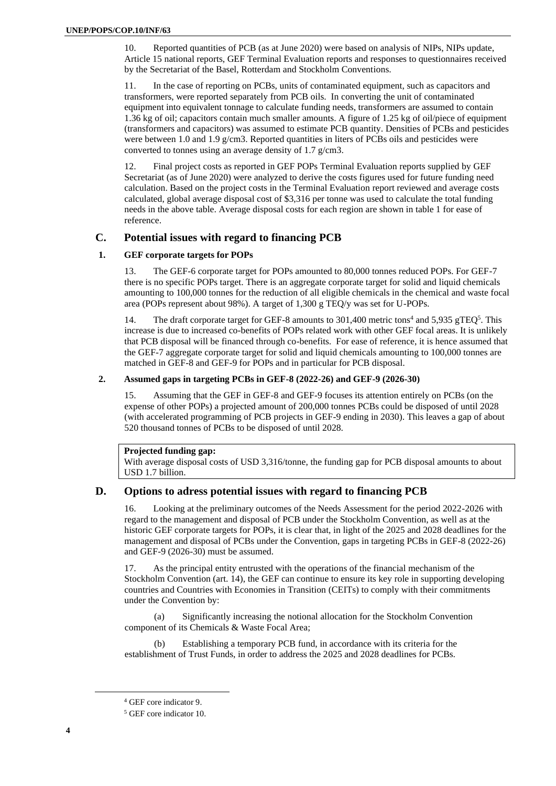10. Reported quantities of PCB (as at June 2020) were based on analysis of NIPs, NIPs update, Article 15 national reports, GEF Terminal Evaluation reports and responses to questionnaires received by the Secretariat of the Basel, Rotterdam and Stockholm Conventions.

11. In the case of reporting on PCBs, units of contaminated equipment, such as capacitors and transformers, were reported separately from PCB oils. In converting the unit of contaminated equipment into equivalent tonnage to calculate funding needs, transformers are assumed to contain 1.36 kg of oil; capacitors contain much smaller amounts. A figure of 1.25 kg of oil/piece of equipment (transformers and capacitors) was assumed to estimate PCB quantity. Densities of PCBs and pesticides were between 1.0 and 1.9 g/cm3. Reported quantities in liters of PCBs oils and pesticides were converted to tonnes using an average density of 1.7 g/cm3.

12. Final project costs as reported in GEF POPs Terminal Evaluation reports supplied by GEF Secretariat (as of June 2020) were analyzed to derive the costs figures used for future funding need calculation. Based on the project costs in the Terminal Evaluation report reviewed and average costs calculated, global average disposal cost of \$3,316 per tonne was used to calculate the total funding needs in the above table. Average disposal costs for each region are shown in table 1 for ease of reference.

### **C. Potential issues with regard to financing PCB**

#### **1. GEF corporate targets for POPs**

13. The GEF-6 corporate target for POPs amounted to 80,000 tonnes reduced POPs. For GEF-7 there is no specific POPs target. There is an aggregate corporate target for solid and liquid chemicals amounting to 100,000 tonnes for the reduction of all eligible chemicals in the chemical and waste focal area (POPs represent about 98%). A target of 1,300 g TEQ/y was set for U-POPs.

14. The draft corporate target for GEF-8 amounts to 301,400 metric tons<sup>4</sup> and 5,935 gTEQ<sup>5</sup>. This increase is due to increased co-benefits of POPs related work with other GEF focal areas. It is unlikely that PCB disposal will be financed through co-benefits. For ease of reference, it is hence assumed that the GEF-7 aggregate corporate target for solid and liquid chemicals amounting to 100,000 tonnes are matched in GEF-8 and GEF-9 for POPs and in particular for PCB disposal.

#### **2. Assumed gaps in targeting PCBs in GEF-8 (2022-26) and GEF-9 (2026-30)**

15. Assuming that the GEF in GEF-8 and GEF-9 focuses its attention entirely on PCBs (on the expense of other POPs) a projected amount of 200,000 tonnes PCBs could be disposed of until 2028 (with accelerated programming of PCB projects in GEF-9 ending in 2030). This leaves a gap of about 520 thousand tonnes of PCBs to be disposed of until 2028.

#### **Projected funding gap:**

With average disposal costs of USD 3,316/tonne, the funding gap for PCB disposal amounts to about USD 1.7 billion.

### **D. Options to adress potential issues with regard to financing PCB**

16. Looking at the preliminary outcomes of the Needs Assessment for the period 2022-2026 with regard to the management and disposal of PCB under the Stockholm Convention, as well as at the historic GEF corporate targets for POPs, it is clear that, in light of the 2025 and 2028 deadlines for the management and disposal of PCBs under the Convention, gaps in targeting PCBs in GEF-8 (2022-26) and GEF-9 (2026-30) must be assumed.

17. As the principal entity entrusted with the operations of the financial mechanism of the Stockholm Convention (art. 14), the GEF can continue to ensure its key role in supporting developing countries and Countries with Economies in Transition (CEITs) to comply with their commitments under the Convention by:

(a) Significantly increasing the notional allocation for the Stockholm Convention component of its Chemicals & Waste Focal Area;

Establishing a temporary PCB fund, in accordance with its criteria for the establishment of Trust Funds, in order to address the 2025 and 2028 deadlines for PCBs.

<sup>4</sup> GEF core indicator 9.

<sup>5</sup> GEF core indicator 10.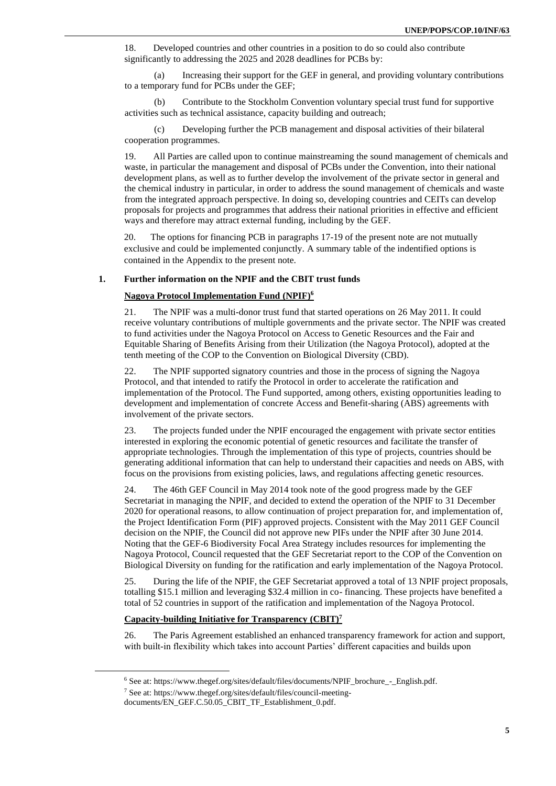18. Developed countries and other countries in a position to do so could also contribute significantly to addressing the 2025 and 2028 deadlines for PCBs by:

(a) Increasing their support for the GEF in general, and providing voluntary contributions to a temporary fund for PCBs under the GEF;

(b) Contribute to the Stockholm Convention voluntary special trust fund for supportive activities such as technical assistance, capacity building and outreach;

(c) Developing further the PCB management and disposal activities of their bilateral cooperation programmes.

19. All Parties are called upon to continue mainstreaming the sound management of chemicals and waste, in particular the management and disposal of PCBs under the Convention, into their national development plans, as well as to further develop the involvement of the private sector in general and the chemical industry in particular, in order to address the sound management of chemicals and waste from the integrated approach perspective. In doing so, developing countries and CEITs can develop proposals for projects and programmes that address their national priorities in effective and efficient ways and therefore may attract external funding, including by the GEF.

20. The options for financing PCB in paragraphs 17-19 of the present note are not mutually exclusive and could be implemented conjunctly. A summary table of the indentified options is contained in the Appendix to the present note.

#### **1. Further information on the NPIF and the CBIT trust funds**

#### **Nagoya Protocol Implementation Fund (NPIF) 6**

21. The NPIF was a multi-donor trust fund that started operations on 26 May 2011. It could receive voluntary contributions of multiple governments and the private sector. The NPIF was created to fund activities under the Nagoya Protocol on Access to Genetic Resources and the Fair and Equitable Sharing of Benefits Arising from their Utilization (the Nagoya Protocol), adopted at the tenth meeting of the COP to the Convention on Biological Diversity (CBD).

22. The NPIF supported signatory countries and those in the process of signing the Nagoya Protocol, and that intended to ratify the Protocol in order to accelerate the ratification and implementation of the Protocol. The Fund supported, among others, existing opportunities leading to development and implementation of concrete Access and Benefit-sharing (ABS) agreements with involvement of the private sectors.

23. The projects funded under the NPIF encouraged the engagement with private sector entities interested in exploring the economic potential of genetic resources and facilitate the transfer of appropriate technologies. Through the implementation of this type of projects, countries should be generating additional information that can help to understand their capacities and needs on ABS, with focus on the provisions from existing policies, laws, and regulations affecting genetic resources.

24. The 46th GEF Council in May 2014 took note of the good progress made by the GEF Secretariat in managing the NPIF, and decided to extend the operation of the NPIF to 31 December 2020 for operational reasons, to allow continuation of project preparation for, and implementation of, the Project Identification Form (PIF) approved projects. Consistent with the May 2011 GEF Council decision on the NPIF, the Council did not approve new PIFs under the NPIF after 30 June 2014. Noting that the GEF-6 Biodiversity Focal Area Strategy includes resources for implementing the Nagoya Protocol, Council requested that the GEF Secretariat report to the COP of the Convention on Biological Diversity on funding for the ratification and early implementation of the Nagoya Protocol.

25. During the life of the NPIF, the GEF Secretariat approved a total of 13 NPIF project proposals, totalling \$15.1 million and leveraging \$32.4 million in co- financing. These projects have benefited a total of 52 countries in support of the ratification and implementation of the Nagoya Protocol.

#### **Capacity-building Initiative for Transparency (CBIT) 7**

26. The Paris Agreement established an enhanced transparency framework for action and support, with built-in flexibility which takes into account Parties' different capacities and builds upon

 $6$  See at[: https://www.thegef.org/sites/default/files/documents/NPIF\\_brochure\\_-\\_English.pdf.](https://www.thegef.org/sites/default/files/documents/NPIF_brochure_-_English.pdf)

<sup>7</sup> See at: [https://www.thegef.org/sites/default/files/council-meeting-](https://www.thegef.org/sites/default/files/council-meeting-documents/EN_GEF.C.50.05_CBIT_TF_Establishment_0.pdf)

documents/EN\_GEF.C.50.05\_CBIT\_TF\_Establishment\_0.pdf.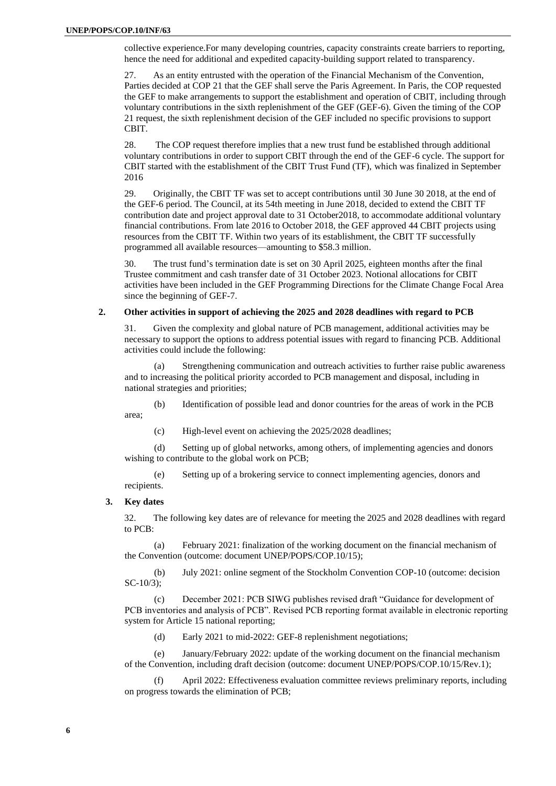collective experience.For many developing countries, capacity constraints create barriers to reporting, hence the need for additional and expedited capacity-building support related to transparency.

27. As an entity entrusted with the operation of the Financial Mechanism of the Convention, Parties decided at COP 21 that the GEF shall serve the Paris Agreement. In Paris, the COP requested the GEF to make arrangements to support the establishment and operation of CBIT, including through voluntary contributions in the sixth replenishment of the GEF (GEF-6). Given the timing of the COP 21 request, the sixth replenishment decision of the GEF included no specific provisions to support CBIT.

28. The COP request therefore implies that a new trust fund be established through additional voluntary contributions in order to support CBIT through the end of the GEF-6 cycle. The support for CBIT started with the establishment of the CBIT Trust Fund (TF), which was finalized in September 2016

29. Originally, the CBIT TF was set to accept contributions until 30 June 30 2018, at the end of the GEF-6 period. The Council, at its 54th meeting in June 2018, decided to extend the CBIT TF contribution date and project approval date to 31 October2018, to accommodate additional voluntary financial contributions. From late 2016 to October 2018, the GEF approved 44 CBIT projects using resources from the CBIT TF. Within two years of its establishment, the CBIT TF successfully programmed all available resources—amounting to \$58.3 million.

30. The trust fund's termination date is set on 30 April 2025, eighteen months after the final Trustee commitment and cash transfer date of 31 October 2023. Notional allocations for CBIT activities have been included in the GEF Programming Directions for the Climate Change Focal Area since the beginning of GEF-7.

#### **2. Other activities in support of achieving the 2025 and 2028 deadlines with regard to PCB**

31. Given the complexity and global nature of PCB management, additional activities may be necessary to support the options to address potential issues with regard to financing PCB. Additional activities could include the following:

(a) Strengthening communication and outreach activities to further raise public awareness and to increasing the political priority accorded to PCB management and disposal, including in national strategies and priorities;

(b) Identification of possible lead and donor countries for the areas of work in the PCB area;

(c) High-level event on achieving the 2025/2028 deadlines;

(d) Setting up of global networks, among others, of implementing agencies and donors wishing to contribute to the global work on PCB;

(e) Setting up of a brokering service to connect implementing agencies, donors and recipients.

#### **3. Key dates**

32. The following key dates are of relevance for meeting the 2025 and 2028 deadlines with regard to PCB:

(a) February 2021: finalization of the working document on the financial mechanism of the Convention (outcome: document UNEP/POPS/COP.10/15);

(b) July 2021: online segment of the Stockholm Convention COP-10 (outcome: decision SC-10/3);

(c) December 2021: PCB SIWG publishes revised draft "Guidance for development of PCB inventories and analysis of PCB". Revised PCB reporting format available in electronic reporting system for Article 15 national reporting;

(d) Early 2021 to mid-2022: GEF-8 replenishment negotiations;

(e) January/February 2022: update of the working document on the financial mechanism of the Convention, including draft decision (outcome: document UNEP/POPS/COP.10/15/Rev.1);

(f) April 2022: Effectiveness evaluation committee reviews preliminary reports, including on progress towards the elimination of PCB;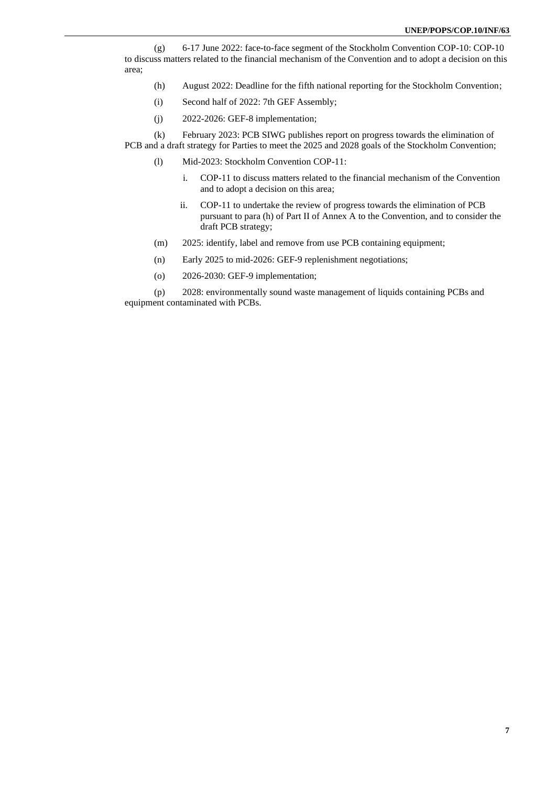(g) 6-17 June 2022: face-to-face segment of the Stockholm Convention COP-10: COP-10 to discuss matters related to the financial mechanism of the Convention and to adopt a decision on this area;

- (h) August 2022: Deadline for the fifth national reporting for the Stockholm Convention;
- (i) Second half of 2022: 7th GEF Assembly;
- (j) 2022-2026: GEF-8 implementation;

(k) February 2023: PCB SIWG publishes report on progress towards the elimination of PCB and a draft strategy for Parties to meet the 2025 and 2028 goals of the Stockholm Convention;

- (l) Mid-2023: Stockholm Convention COP-11:
	- i. COP-11 to discuss matters related to the financial mechanism of the Convention and to adopt a decision on this area;
	- ii. COP-11 to undertake the review of progress towards the elimination of PCB pursuant to para (h) of Part II of Annex A to the Convention, and to consider the draft PCB strategy;
- (m) 2025: identify, label and remove from use PCB containing equipment;
- (n) Early 2025 to mid-2026: GEF-9 replenishment negotiations;
- (o) 2026-2030: GEF-9 implementation;

(p) 2028: environmentally sound waste management of liquids containing PCBs and equipment contaminated with PCBs.